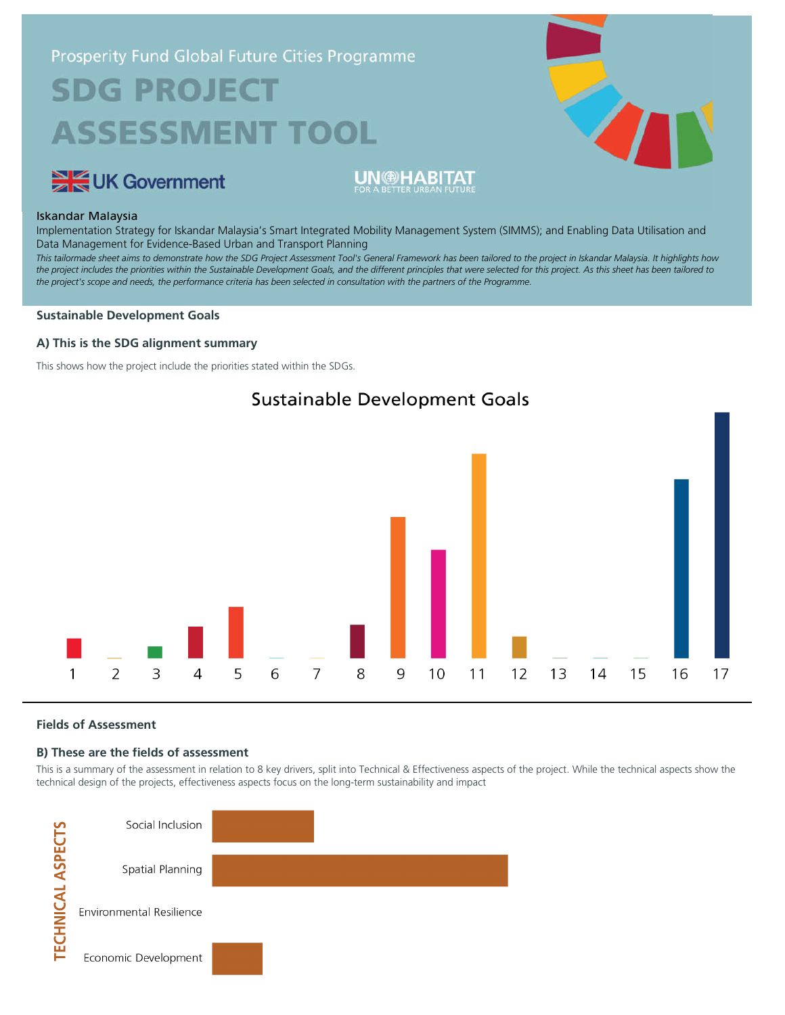# Prosperity Fund Global Future Cities Programme **SDG PROJECT ASSESSMENT TOOL**



### Iskandar Malaysia

Implementation Strategy for Iskandar Malaysia's Smart Integrated Mobility Management System (SIMMS); and Enabling Data Utilisation and Data Management for Evidence-Based Urban and Transport Planning

**UN @HABITAT** 

*This tailormade sheet aims to demonstrate how the SDG Project Assessment Tool's General Framework has been tailored to the project in Iskandar Malaysia. It highlights how the project includes the priorities within the Sustainable Development Goals, and the different principles that were selected for this project. As this sheet has been tailored to the project's scope and needs, the performance criteria has been selected in consultation with the partners of the Programme.*

#### **Sustainable Development Goals**

UK Government

#### **A) This is the SDG alignment summary**

This shows how the project include the priorities stated within the SDGs.





#### **Fields of Assessment**

#### **B) These are the fields of assessment**

This is a summary of the assessment in relation to 8 key drivers, split into Technical & Effectiveness aspects of the project. While the technical aspects show the technical design of the projects, effectiveness aspects focus on the long-term sustainability and impact

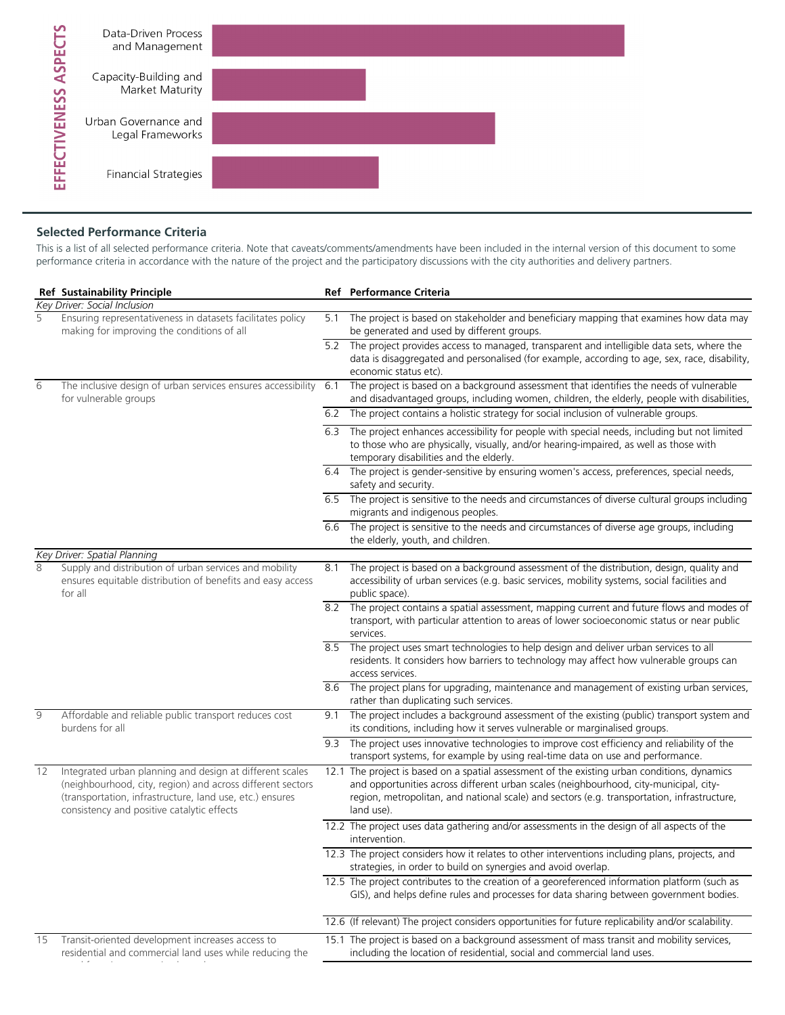

## **Selected Performance Criteria**

This is a list of all selected performance criteria. Note that caveats/comments/amendments have been included in the internal version of this document to some performance criteria in accordance with the nature of the project and the participatory discussions with the city authorities and delivery partners.

|    | <b>Ref Sustainability Principle</b>                                                                                                                                                                                              |     | Ref Performance Criteria                                                                                                                                                                                                                                                                           |
|----|----------------------------------------------------------------------------------------------------------------------------------------------------------------------------------------------------------------------------------|-----|----------------------------------------------------------------------------------------------------------------------------------------------------------------------------------------------------------------------------------------------------------------------------------------------------|
|    | Key Driver: Social Inclusion                                                                                                                                                                                                     |     |                                                                                                                                                                                                                                                                                                    |
| 5  | Ensuring representativeness in datasets facilitates policy<br>making for improving the conditions of all                                                                                                                         | 5.1 | The project is based on stakeholder and beneficiary mapping that examines how data may<br>be generated and used by different groups.                                                                                                                                                               |
|    |                                                                                                                                                                                                                                  |     | 5.2 The project provides access to managed, transparent and intelligible data sets, where the<br>data is disaggregated and personalised (for example, according to age, sex, race, disability,<br>economic status etc).                                                                            |
| 6  | The inclusive design of urban services ensures accessibility<br>for vulnerable groups                                                                                                                                            | 6.1 | The project is based on a background assessment that identifies the needs of vulnerable<br>and disadvantaged groups, including women, children, the elderly, people with disabilities,                                                                                                             |
|    |                                                                                                                                                                                                                                  |     | 6.2 The project contains a holistic strategy for social inclusion of vulnerable groups.                                                                                                                                                                                                            |
|    |                                                                                                                                                                                                                                  |     | 6.3 The project enhances accessibility for people with special needs, including but not limited<br>to those who are physically, visually, and/or hearing-impaired, as well as those with<br>temporary disabilities and the elderly.                                                                |
|    |                                                                                                                                                                                                                                  |     | 6.4 The project is gender-sensitive by ensuring women's access, preferences, special needs,<br>safety and security.                                                                                                                                                                                |
|    |                                                                                                                                                                                                                                  |     | 6.5 The project is sensitive to the needs and circumstances of diverse cultural groups including<br>migrants and indigenous peoples.                                                                                                                                                               |
|    |                                                                                                                                                                                                                                  | 6.6 | The project is sensitive to the needs and circumstances of diverse age groups, including<br>the elderly, youth, and children.                                                                                                                                                                      |
|    | Key Driver: Spatial Planning                                                                                                                                                                                                     |     |                                                                                                                                                                                                                                                                                                    |
| 8  | Supply and distribution of urban services and mobility<br>ensures equitable distribution of benefits and easy access<br>for all                                                                                                  | 8.1 | The project is based on a background assessment of the distribution, design, quality and<br>accessibility of urban services (e.g. basic services, mobility systems, social facilities and<br>public space).                                                                                        |
|    |                                                                                                                                                                                                                                  |     | 8.2 The project contains a spatial assessment, mapping current and future flows and modes of<br>transport, with particular attention to areas of lower socioeconomic status or near public<br>services.                                                                                            |
|    |                                                                                                                                                                                                                                  |     | 8.5 The project uses smart technologies to help design and deliver urban services to all<br>residents. It considers how barriers to technology may affect how vulnerable groups can<br>access services.                                                                                            |
|    |                                                                                                                                                                                                                                  |     | 8.6 The project plans for upgrading, maintenance and management of existing urban services,<br>rather than duplicating such services.                                                                                                                                                              |
| 9  | Affordable and reliable public transport reduces cost<br>burdens for all                                                                                                                                                         | 9.1 | The project includes a background assessment of the existing (public) transport system and<br>its conditions, including how it serves vulnerable or marginalised groups.                                                                                                                           |
|    |                                                                                                                                                                                                                                  | 9.3 | The project uses innovative technologies to improve cost efficiency and reliability of the<br>transport systems, for example by using real-time data on use and performance.                                                                                                                       |
| 12 | Integrated urban planning and design at different scales<br>(neighbourhood, city, region) and across different sectors<br>(transportation, infrastructure, land use, etc.) ensures<br>consistency and positive catalytic effects |     | 12.1 The project is based on a spatial assessment of the existing urban conditions, dynamics<br>and opportunities across different urban scales (neighbourhood, city-municipal, city-<br>region, metropolitan, and national scale) and sectors (e.g. transportation, infrastructure,<br>land use). |
|    |                                                                                                                                                                                                                                  |     | 12.2 The project uses data gathering and/or assessments in the design of all aspects of the<br>intervention.                                                                                                                                                                                       |
|    |                                                                                                                                                                                                                                  |     | 12.3 The project considers how it relates to other interventions including plans, projects, and<br>strategies, in order to build on synergies and avoid overlap.                                                                                                                                   |
|    |                                                                                                                                                                                                                                  |     | 12.5 The project contributes to the creation of a georeferenced information platform (such as<br>GIS), and helps define rules and processes for data sharing between government bodies.                                                                                                            |
|    |                                                                                                                                                                                                                                  |     | 12.6 (If relevant) The project considers opportunities for future replicability and/or scalability.                                                                                                                                                                                                |
| 15 | Transit-oriented development increases access to<br>residential and commercial land uses while reducing the                                                                                                                      |     | 15.1 The project is based on a background assessment of mass transit and mobility services,<br>including the location of residential, social and commercial land uses.                                                                                                                             |
|    |                                                                                                                                                                                                                                  |     |                                                                                                                                                                                                                                                                                                    |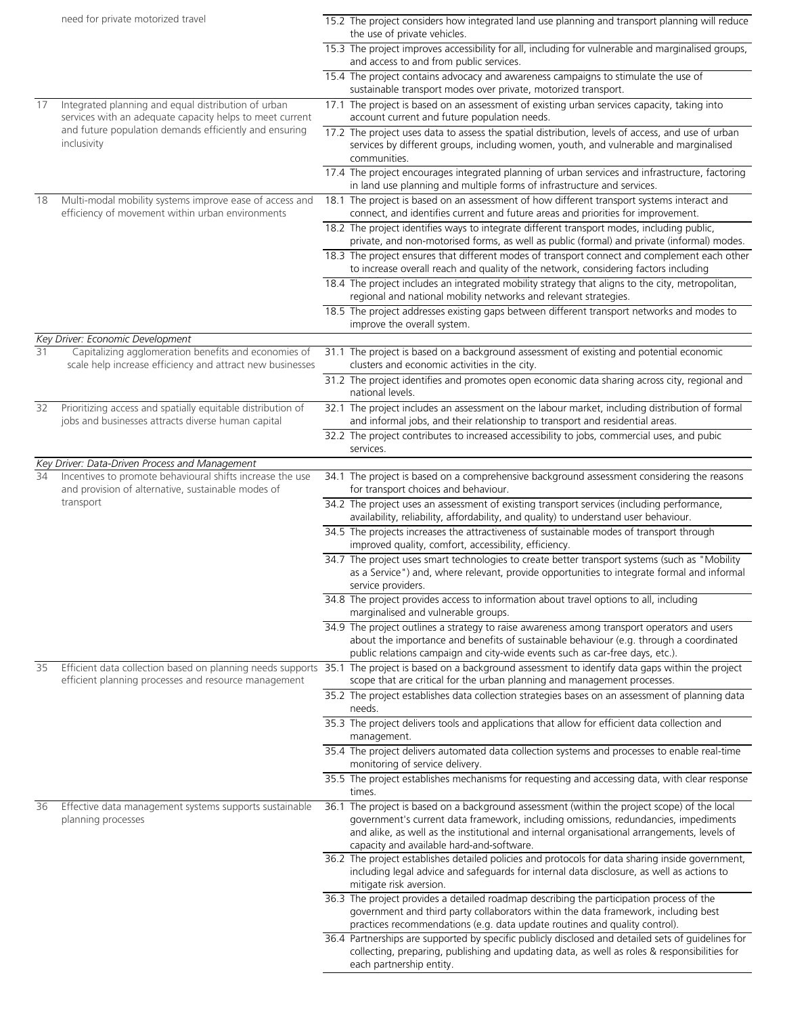|    | need for private motorized travel                                                                                 | 15.2 The project considers how integrated land use planning and transport planning will reduce<br>the use of private vehicles.                                                                                                                                                     |
|----|-------------------------------------------------------------------------------------------------------------------|------------------------------------------------------------------------------------------------------------------------------------------------------------------------------------------------------------------------------------------------------------------------------------|
|    |                                                                                                                   | 15.3 The project improves accessibility for all, including for vulnerable and marginalised groups,                                                                                                                                                                                 |
|    |                                                                                                                   | and access to and from public services.                                                                                                                                                                                                                                            |
|    |                                                                                                                   | 15.4 The project contains advocacy and awareness campaigns to stimulate the use of<br>sustainable transport modes over private, motorized transport.                                                                                                                               |
| 17 | Integrated planning and equal distribution of urban<br>services with an adequate capacity helps to meet current   | 17.1 The project is based on an assessment of existing urban services capacity, taking into<br>account current and future population needs.                                                                                                                                        |
|    | and future population demands efficiently and ensuring<br>inclusivity                                             | 17.2 The project uses data to assess the spatial distribution, levels of access, and use of urban<br>services by different groups, including women, youth, and vulnerable and marginalised<br>communities.                                                                         |
|    |                                                                                                                   | 17.4 The project encourages integrated planning of urban services and infrastructure, factoring<br>in land use planning and multiple forms of infrastructure and services.                                                                                                         |
| 18 | Multi-modal mobility systems improve ease of access and<br>efficiency of movement within urban environments       | 18.1 The project is based on an assessment of how different transport systems interact and<br>connect, and identifies current and future areas and priorities for improvement.                                                                                                     |
|    |                                                                                                                   | 18.2 The project identifies ways to integrate different transport modes, including public,<br>private, and non-motorised forms, as well as public (formal) and private (informal) modes.                                                                                           |
|    |                                                                                                                   | 18.3 The project ensures that different modes of transport connect and complement each other<br>to increase overall reach and quality of the network, considering factors including                                                                                                |
|    |                                                                                                                   | 18.4 The project includes an integrated mobility strategy that aligns to the city, metropolitan,<br>regional and national mobility networks and relevant strategies.                                                                                                               |
|    |                                                                                                                   | 18.5 The project addresses existing gaps between different transport networks and modes to<br>improve the overall system.                                                                                                                                                          |
|    | Key Driver: Economic Development                                                                                  |                                                                                                                                                                                                                                                                                    |
| 31 | Capitalizing agglomeration benefits and economies of<br>scale help increase efficiency and attract new businesses | 31.1 The project is based on a background assessment of existing and potential economic<br>clusters and economic activities in the city.                                                                                                                                           |
|    |                                                                                                                   | 31.2 The project identifies and promotes open economic data sharing across city, regional and<br>national levels.                                                                                                                                                                  |
| 32 | Prioritizing access and spatially equitable distribution of<br>jobs and businesses attracts diverse human capital | 32.1 The project includes an assessment on the labour market, including distribution of formal<br>and informal jobs, and their relationship to transport and residential areas.                                                                                                    |
|    |                                                                                                                   | 32.2 The project contributes to increased accessibility to jobs, commercial uses, and pubic<br>services.                                                                                                                                                                           |
|    | Key Driver: Data-Driven Process and Management                                                                    |                                                                                                                                                                                                                                                                                    |
| 34 | Incentives to promote behavioural shifts increase the use<br>and provision of alternative, sustainable modes of   | 34.1 The project is based on a comprehensive background assessment considering the reasons<br>for transport choices and behaviour.                                                                                                                                                 |
|    | transport                                                                                                         | 34.2 The project uses an assessment of existing transport services (including performance,<br>availability, reliability, affordability, and quality) to understand user behaviour.                                                                                                 |
|    |                                                                                                                   | 34.5 The projects increases the attractiveness of sustainable modes of transport through<br>improved quality, comfort, accessibility, efficiency.                                                                                                                                  |
|    |                                                                                                                   | 34.7 The project uses smart technologies to create better transport systems (such as "Mobility<br>as a Service") and, where relevant, provide opportunities to integrate formal and informal<br>service providers.                                                                 |
|    |                                                                                                                   | 34.8 The project provides access to information about travel options to all, including<br>marginalised and vulnerable groups.                                                                                                                                                      |
|    |                                                                                                                   | 34.9 The project outlines a strategy to raise awareness among transport operators and users<br>about the importance and benefits of sustainable behaviour (e.g. through a coordinated<br>public relations campaign and city-wide events such as car-free days, etc.).              |
| 35 | efficient planning processes and resource management                                                              | Efficient data collection based on planning needs supports 35.1 The project is based on a background assessment to identify data gaps within the project<br>scope that are critical for the urban planning and management processes.                                               |
|    |                                                                                                                   | 35.2 The project establishes data collection strategies bases on an assessment of planning data<br>needs.                                                                                                                                                                          |
|    |                                                                                                                   | 35.3 The project delivers tools and applications that allow for efficient data collection and<br>management.                                                                                                                                                                       |
|    |                                                                                                                   | 35.4 The project delivers automated data collection systems and processes to enable real-time<br>monitoring of service delivery.                                                                                                                                                   |
|    |                                                                                                                   | 35.5 The project establishes mechanisms for requesting and accessing data, with clear response<br>times.                                                                                                                                                                           |
| 36 | Effective data management systems supports sustainable<br>planning processes                                      | 36.1 The project is based on a background assessment (within the project scope) of the local<br>government's current data framework, including omissions, redundancies, impediments<br>and alike, as well as the institutional and internal organisational arrangements, levels of |
|    |                                                                                                                   | capacity and available hard-and-software.                                                                                                                                                                                                                                          |
|    |                                                                                                                   | 36.2 The project establishes detailed policies and protocols for data sharing inside government,<br>including legal advice and safeguards for internal data disclosure, as well as actions to<br>mitigate risk aversion.                                                           |
|    |                                                                                                                   | 36.3 The project provides a detailed roadmap describing the participation process of the                                                                                                                                                                                           |
|    |                                                                                                                   | government and third party collaborators within the data framework, including best<br>practices recommendations (e.g. data update routines and quality control).                                                                                                                   |
|    |                                                                                                                   | 36.4 Partnerships are supported by specific publicly disclosed and detailed sets of guidelines for<br>collecting, preparing, publishing and updating data, as well as roles & responsibilities for<br>each partnership entity.                                                     |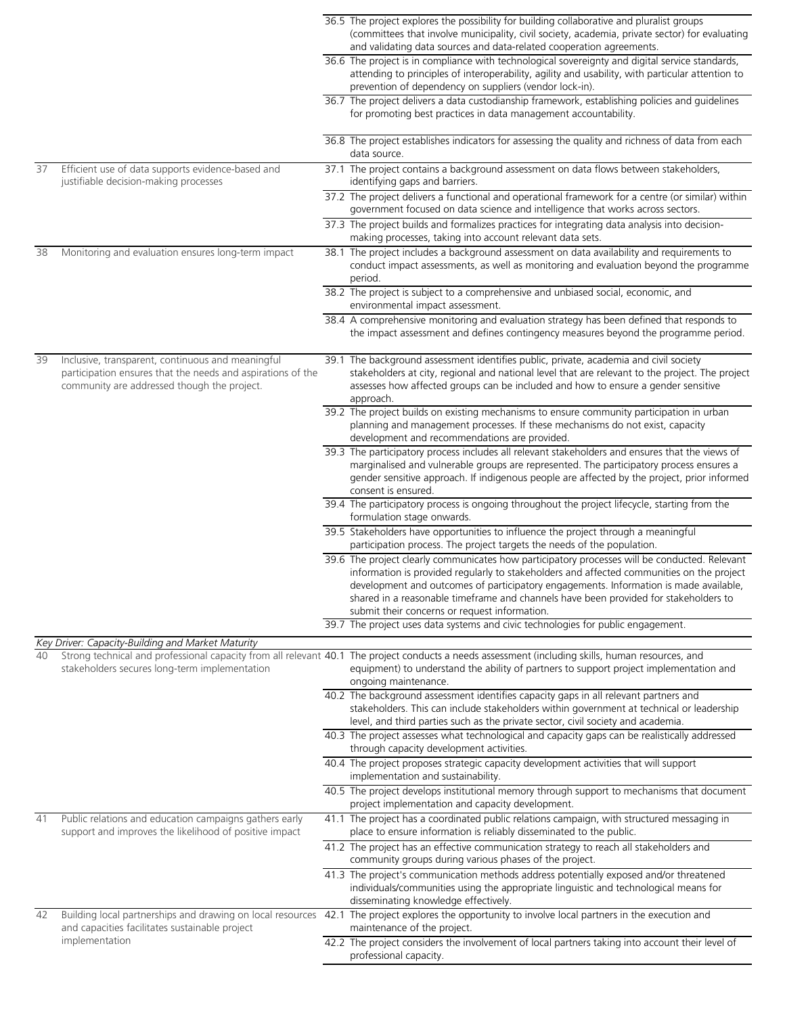|    |                                                                                                                                                                 | 36.5 The project explores the possibility for building collaborative and pluralist groups<br>(committees that involve municipality, civil society, academia, private sector) for evaluating                                                                                                                                                                                                                                  |
|----|-----------------------------------------------------------------------------------------------------------------------------------------------------------------|------------------------------------------------------------------------------------------------------------------------------------------------------------------------------------------------------------------------------------------------------------------------------------------------------------------------------------------------------------------------------------------------------------------------------|
|    |                                                                                                                                                                 | and validating data sources and data-related cooperation agreements.                                                                                                                                                                                                                                                                                                                                                         |
|    |                                                                                                                                                                 | 36.6 The project is in compliance with technological sovereignty and digital service standards,<br>attending to principles of interoperability, agility and usability, with particular attention to<br>prevention of dependency on suppliers (vendor lock-in).                                                                                                                                                               |
|    |                                                                                                                                                                 | 36.7 The project delivers a data custodianship framework, establishing policies and guidelines<br>for promoting best practices in data management accountability.                                                                                                                                                                                                                                                            |
|    |                                                                                                                                                                 | 36.8 The project establishes indicators for assessing the quality and richness of data from each<br>data source.                                                                                                                                                                                                                                                                                                             |
| 37 | Efficient use of data supports evidence-based and<br>justifiable decision-making processes                                                                      | 37.1 The project contains a background assessment on data flows between stakeholders,<br>identifying gaps and barriers.                                                                                                                                                                                                                                                                                                      |
|    |                                                                                                                                                                 | 37.2 The project delivers a functional and operational framework for a centre (or similar) within<br>government focused on data science and intelligence that works across sectors.                                                                                                                                                                                                                                          |
|    |                                                                                                                                                                 | 37.3 The project builds and formalizes practices for integrating data analysis into decision-<br>making processes, taking into account relevant data sets.                                                                                                                                                                                                                                                                   |
| 38 | Monitoring and evaluation ensures long-term impact                                                                                                              | 38.1 The project includes a background assessment on data availability and requirements to<br>conduct impact assessments, as well as monitoring and evaluation beyond the programme<br>period.                                                                                                                                                                                                                               |
|    |                                                                                                                                                                 | 38.2 The project is subject to a comprehensive and unbiased social, economic, and<br>environmental impact assessment.                                                                                                                                                                                                                                                                                                        |
|    |                                                                                                                                                                 | 38.4 A comprehensive monitoring and evaluation strategy has been defined that responds to<br>the impact assessment and defines contingency measures beyond the programme period.                                                                                                                                                                                                                                             |
| 39 | Inclusive, transparent, continuous and meaningful<br>participation ensures that the needs and aspirations of the<br>community are addressed though the project. | 39.1 The background assessment identifies public, private, academia and civil society<br>stakeholders at city, regional and national level that are relevant to the project. The project<br>assesses how affected groups can be included and how to ensure a gender sensitive<br>approach.                                                                                                                                   |
|    |                                                                                                                                                                 | 39.2 The project builds on existing mechanisms to ensure community participation in urban<br>planning and management processes. If these mechanisms do not exist, capacity<br>development and recommendations are provided.                                                                                                                                                                                                  |
|    |                                                                                                                                                                 | 39.3 The participatory process includes all relevant stakeholders and ensures that the views of<br>marginalised and vulnerable groups are represented. The participatory process ensures a<br>gender sensitive approach. If indigenous people are affected by the project, prior informed<br>consent is ensured.                                                                                                             |
|    |                                                                                                                                                                 | 39.4 The participatory process is ongoing throughout the project lifecycle, starting from the<br>formulation stage onwards.                                                                                                                                                                                                                                                                                                  |
|    |                                                                                                                                                                 | 39.5 Stakeholders have opportunities to influence the project through a meaningful<br>participation process. The project targets the needs of the population.                                                                                                                                                                                                                                                                |
|    |                                                                                                                                                                 | 39.6 The project clearly communicates how participatory processes will be conducted. Relevant<br>information is provided regularly to stakeholders and affected communities on the project<br>development and outcomes of participatory engagements. Information is made available,<br>shared in a reasonable timeframe and channels have been provided for stakeholders to<br>submit their concerns or request information. |
|    |                                                                                                                                                                 | 39.7 The project uses data systems and civic technologies for public engagement.                                                                                                                                                                                                                                                                                                                                             |
| 40 | Key Driver: Capacity-Building and Market Maturity<br>stakeholders secures long-term implementation                                                              | Strong technical and professional capacity from all relevant 40.1 The project conducts a needs assessment (including skills, human resources, and<br>equipment) to understand the ability of partners to support project implementation and<br>ongoing maintenance.                                                                                                                                                          |
|    |                                                                                                                                                                 | 40.2 The background assessment identifies capacity gaps in all relevant partners and<br>stakeholders. This can include stakeholders within government at technical or leadership<br>level, and third parties such as the private sector, civil society and academia.                                                                                                                                                         |
|    |                                                                                                                                                                 | 40.3 The project assesses what technological and capacity gaps can be realistically addressed<br>through capacity development activities.                                                                                                                                                                                                                                                                                    |
|    |                                                                                                                                                                 | 40.4 The project proposes strategic capacity development activities that will support<br>implementation and sustainability.                                                                                                                                                                                                                                                                                                  |
|    |                                                                                                                                                                 | 40.5 The project develops institutional memory through support to mechanisms that document<br>project implementation and capacity development.                                                                                                                                                                                                                                                                               |
| 41 | Public relations and education campaigns gathers early<br>support and improves the likelihood of positive impact                                                | 41.1 The project has a coordinated public relations campaign, with structured messaging in<br>place to ensure information is reliably disseminated to the public.                                                                                                                                                                                                                                                            |
|    |                                                                                                                                                                 | 41.2 The project has an effective communication strategy to reach all stakeholders and<br>community groups during various phases of the project.                                                                                                                                                                                                                                                                             |
|    |                                                                                                                                                                 | 41.3 The project's communication methods address potentially exposed and/or threatened<br>individuals/communities using the appropriate linguistic and technological means for<br>disseminating knowledge effectively.                                                                                                                                                                                                       |
| 42 | Building local partnerships and drawing on local resources<br>and capacities facilitates sustainable project                                                    | 42.1 The project explores the opportunity to involve local partners in the execution and<br>maintenance of the project.                                                                                                                                                                                                                                                                                                      |
|    | implementation                                                                                                                                                  | 42.2 The project considers the involvement of local partners taking into account their level of<br>professional capacity.                                                                                                                                                                                                                                                                                                    |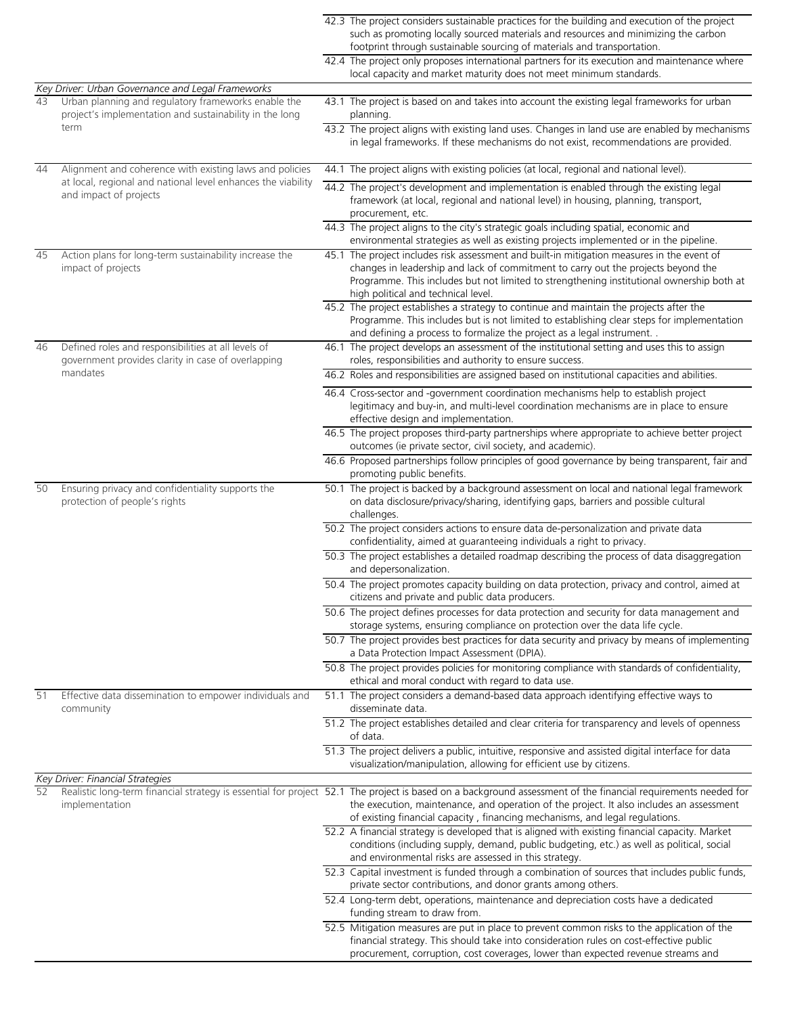|    |                                                                                                                                                   | 42.3 The project considers sustainable practices for the building and execution of the project<br>such as promoting locally sourced materials and resources and minimizing the carbon<br>footprint through sustainable sourcing of materials and transportation.                                                                          |
|----|---------------------------------------------------------------------------------------------------------------------------------------------------|-------------------------------------------------------------------------------------------------------------------------------------------------------------------------------------------------------------------------------------------------------------------------------------------------------------------------------------------|
|    |                                                                                                                                                   | 42.4 The project only proposes international partners for its execution and maintenance where<br>local capacity and market maturity does not meet minimum standards.                                                                                                                                                                      |
|    | Key Driver: Urban Governance and Legal Frameworks                                                                                                 |                                                                                                                                                                                                                                                                                                                                           |
| 43 | Urban planning and regulatory frameworks enable the<br>project's implementation and sustainability in the long<br>term                            | 43.1 The project is based on and takes into account the existing legal frameworks for urban<br>planning.<br>43.2 The project aligns with existing land uses. Changes in land use are enabled by mechanisms                                                                                                                                |
|    |                                                                                                                                                   | in legal frameworks. If these mechanisms do not exist, recommendations are provided.                                                                                                                                                                                                                                                      |
| 44 | Alignment and coherence with existing laws and policies<br>at local, regional and national level enhances the viability<br>and impact of projects | 44.1 The project aligns with existing policies (at local, regional and national level).                                                                                                                                                                                                                                                   |
|    |                                                                                                                                                   | 44.2 The project's development and implementation is enabled through the existing legal<br>framework (at local, regional and national level) in housing, planning, transport,<br>procurement, etc.                                                                                                                                        |
|    |                                                                                                                                                   | 44.3 The project aligns to the city's strategic goals including spatial, economic and<br>environmental strategies as well as existing projects implemented or in the pipeline.                                                                                                                                                            |
| 45 | Action plans for long-term sustainability increase the<br>impact of projects                                                                      | 45.1 The project includes risk assessment and built-in mitigation measures in the event of<br>changes in leadership and lack of commitment to carry out the projects beyond the<br>Programme. This includes but not limited to strengthening institutional ownership both at<br>high political and technical level.                       |
|    |                                                                                                                                                   | 45.2 The project establishes a strategy to continue and maintain the projects after the<br>Programme. This includes but is not limited to establishing clear steps for implementation<br>and defining a process to formalize the project as a legal instrument. .                                                                         |
| 46 | Defined roles and responsibilities at all levels of<br>government provides clarity in case of overlapping                                         | 46.1 The project develops an assessment of the institutional setting and uses this to assign<br>roles, responsibilities and authority to ensure success.                                                                                                                                                                                  |
|    | mandates                                                                                                                                          | 46.2 Roles and responsibilities are assigned based on institutional capacities and abilities.                                                                                                                                                                                                                                             |
|    |                                                                                                                                                   | 46.4 Cross-sector and -government coordination mechanisms help to establish project<br>legitimacy and buy-in, and multi-level coordination mechanisms are in place to ensure<br>effective design and implementation.                                                                                                                      |
|    |                                                                                                                                                   | 46.5 The project proposes third-party partnerships where appropriate to achieve better project<br>outcomes (ie private sector, civil society, and academic).                                                                                                                                                                              |
|    |                                                                                                                                                   | 46.6 Proposed partnerships follow principles of good governance by being transparent, fair and<br>promoting public benefits.                                                                                                                                                                                                              |
| 50 | Ensuring privacy and confidentiality supports the<br>protection of people's rights                                                                | 50.1 The project is backed by a background assessment on local and national legal framework<br>on data disclosure/privacy/sharing, identifying gaps, barriers and possible cultural<br>challenges.                                                                                                                                        |
|    |                                                                                                                                                   | 50.2 The project considers actions to ensure data de-personalization and private data<br>confidentiality, aimed at guaranteeing individuals a right to privacy.                                                                                                                                                                           |
|    |                                                                                                                                                   | 50.3 The project establishes a detailed roadmap describing the process of data disaggregation<br>and depersonalization.                                                                                                                                                                                                                   |
|    |                                                                                                                                                   | 50.4 The project promotes capacity building on data protection, privacy and control, aimed at<br>citizens and private and public data producers.                                                                                                                                                                                          |
|    |                                                                                                                                                   | 50.6 The project defines processes for data protection and security for data management and<br>storage systems, ensuring compliance on protection over the data life cycle.                                                                                                                                                               |
|    |                                                                                                                                                   | 50.7 The project provides best practices for data security and privacy by means of implementing<br>a Data Protection Impact Assessment (DPIA).                                                                                                                                                                                            |
|    |                                                                                                                                                   | 50.8 The project provides policies for monitoring compliance with standards of confidentiality,<br>ethical and moral conduct with regard to data use.                                                                                                                                                                                     |
| 51 | Effective data dissemination to empower individuals and<br>community                                                                              | 51.1 The project considers a demand-based data approach identifying effective ways to<br>disseminate data.                                                                                                                                                                                                                                |
|    |                                                                                                                                                   | 51.2 The project establishes detailed and clear criteria for transparency and levels of openness<br>of data.                                                                                                                                                                                                                              |
|    |                                                                                                                                                   | 51.3 The project delivers a public, intuitive, responsive and assisted digital interface for data<br>visualization/manipulation, allowing for efficient use by citizens.                                                                                                                                                                  |
|    | Key Driver: Financial Strategies                                                                                                                  |                                                                                                                                                                                                                                                                                                                                           |
| 52 | implementation                                                                                                                                    | Realistic long-term financial strategy is essential for project 52.1 The project is based on a background assessment of the financial requirements needed for<br>the execution, maintenance, and operation of the project. It also includes an assessment<br>of existing financial capacity, financing mechanisms, and legal regulations. |
|    |                                                                                                                                                   | 52.2 A financial strategy is developed that is aligned with existing financial capacity. Market<br>conditions (including supply, demand, public budgeting, etc.) as well as political, social<br>and environmental risks are assessed in this strategy.                                                                                   |
|    |                                                                                                                                                   | 52.3 Capital investment is funded through a combination of sources that includes public funds,<br>private sector contributions, and donor grants among others.                                                                                                                                                                            |
|    |                                                                                                                                                   | 52.4 Long-term debt, operations, maintenance and depreciation costs have a dedicated<br>funding stream to draw from.                                                                                                                                                                                                                      |
|    |                                                                                                                                                   | 52.5 Mitigation measures are put in place to prevent common risks to the application of the<br>financial strategy. This should take into consideration rules on cost-effective public<br>procurement, corruption, cost coverages, lower than expected revenue streams and                                                                 |